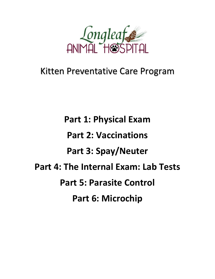

# Kitten Preventative Care Program

**Part 1: Physical Exam Part 2: Vaccinations Part 3: Spay/Neuter Part 4: The Internal Exam: Lab Tests Part 5: Parasite Control Part 6: Microchip**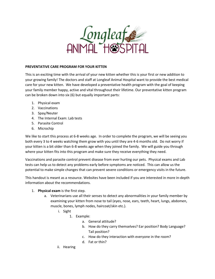

#### **PREVENTATIVE CARE PROGRAM FOR YOUR KITTEN**

This is an exciting time with the arrival of your new kitten whether this is your first or new addition to your growing family! The doctors and staff at Longleaf Animal Hospital want to provide the best medical care for your new kitten. We have developed a preventative health program with the goal of keeping your family member happy, active and vital throughout their lifetime. Our preventative kitten program can be broken down into six (6) but equally important parts:

- 1. Physical exam
- 2. Vaccinations
- 3. Spay/Neuter
- 4. The Internal Exam: Lab tests
- 5. Parasite Control
- 6. Microchip

We like to start this process at 6-8 weeks age. In order to complete the program, we will be seeing you both every 3 to 4 weeks watching them grow with you until they are 4-6 months old. Do not worry if your kitten is a bit older than 6-8 weeks age when they joined the family. We will guide you through where your kitten fits into this program and make sure they receive everything they need.

Vaccinations and parasite control prevent disease from ever hurting our pets. Physical exams and Lab tests can help us to detect any problems early before symptoms are noticed. This can allow us the potential to make simple changes that can prevent severe conditions or emergency visits in the future.

This handout is meant as a resource. Websites have been included if you are interested in more in-depth information about the recommendations.

- 1. **Physical exam** is the first step.
	- a. Veterinarians use all their senses to detect any abnormalities in your family member by examining your kitten from nose to tail (eyes, nose, ears, teeth, heart, lungs, abdomen, muscle, bones, lymph nodes, haircoat/skin etc.).
		- i. Sight
			- 1. Example:
				- a. General attitude?
				- b. How do they carry themselves? Ear position? Body Language? Tail position?
				- c. How do they interaction with everyone in the room?
				- d. Fat or thin?
		- ii. Hearing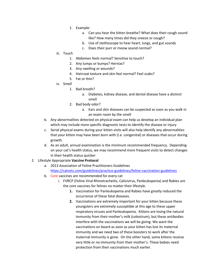- 1. Example:
	- a. Can you hear the kitten breathe? What does their cough sound like? How many times did they sneeze or cough?
	- b. Use of stethoscope to hear heart, lungs, and gut sounds
	- c. Does their purr or meow sound normal?
- iii. Touch
	- 1. Abdomen feels normal? Sensitive to touch?
	- 2. Any lumps or bumps? Hernias?
	- 3. Any swelling or wounds?
	- 4. Haircoat texture and skin feel normal? Feel scabs?
	- 5. Fat or thin?
- iv. Smell
	- 1. Bad breath?
		- a. Diabetes, kidney disease, and dental disease have a distinct smell
	- 2. Bad body odor?
		- a. Ears and skin diseases can be suspected as soon as you walk in an exam room by the smell
- b. Any abnormalities detected on physical exam can help us develop an individual plan which may include more specific diagnostic tests to identify the disease or injury
- c. Serial physical exams during your kitten visits will also help identify any abnormalities that your kitten may have been born with (i.e. congenital) or diseases that occur during growth.
- d. As an adult, annual examination is the minimum recommended frequency. Depending on your cat's health status, we may recommend more frequent visits to detect changes in their health status quicker
- 2. Lifestyle Appropriate **Vaccine Protocol**
	- a. 2013 Association of Feline Practitioners Guidelines <https://catvets.com/guidelines/practice-guidelines/feline-vaccination-guidelines>
	- b. Core vaccines are recommended for every cat
		- i. FVRCP (Feline Viral Rhinotracheitis, Calicivirus, Panleukopenia) and Rabies are the core vaccines for felines no matter their lifestyle.
			- **1.** Vaccination for Panleukopenia and Rabies have greatly reduced the occurrence of these fatal diseases.
			- **2.** Vaccinations are extremely important for your kitten because these youngsters are extremely susceptible at this age to these upper respiratory viruses and Panleukopenia. Kittens are losing the natural immunity from their mother's milk (colostrum), but these antibodies interfere with the vaccinations we will be giving. We want the vaccinations on board as soon as your kitten has lost its maternal immunity and we need two of these boosters to work after the maternal immunity is gone. On the other hand, some kittens receive very little or no immunity from their mother's. These babies need protection from their vaccinations much earlier.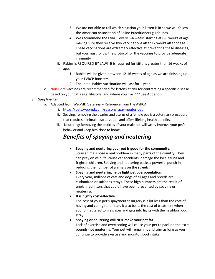- **3.** We are not able to tell which situation your kitten is in so we will follow the American Association of Feline Practitioners guidelines.
- **4.** We recommend the FVRCP every 3-4 weeks starting at 6-8 weeks of age making sure they receive two vaccinations after 12 weeks after of age
- **5.** These vaccinations are extremely effective at preventing these diseases, but you must follow the protocol for the vaccines to provide adequate immunity
- ii. Rabies is REQUIRED BY LAW! It is required for kittens greater than 16 weeks of age.
	- 1. Rabies will be given between 12-16 weeks of age as we are finishing up your FVRCP boosters.
	- 2. The initial Rabies vaccination will last for 1 year
- c. Non-Core vaccines are recommended for kittens at risk for contracting a specific disease based on your cat's age, lifestyle, and where you live \*\*\*See Appendix

#### **3. Spay/neuter**

- a. Adapted from WebMD Veterinary Reference from the ASPCA
	- i. <https://pets.webmd.com/reasons-spay-neuter-pet>
	- ii. Spaying: removing the ovaries and uterus of a female [pet-](https://pets.webmd.com/pet-health-assessment/default.htm)is a veterinary procedure that requires minimal hospitalization and offers lifelong health benefits.
	- iii. Neutering: Removing the testicles of your male pet-will vastly improve your pet's behavior and keep him close to home.

### *Benefits of spaying and neutering*

- **Spaying and neutering your pet is good for the community.** Stray animals pose a real problem in many parts of the country. They can prey on wildlife, cause car accidents, damage the local fauna and frighten children. Spaying and neutering packs a powerful punch in reducing the number of animals on the streets.
- **Spaying and neutering helps fight pet overpopulation.** Every year, millions of cats and dogs of all ages and breeds are euthanized or suffer as strays. These high numbers are the result of unplanned litters that could have been prevented by spaying or neutering.
- **It is highly cost-effective.**

The cost of your pet's spay/neuter surgery is a lot less than the cost of having and caring for a litter. It also beats the cost of treatment when your unneutered tom escapes and gets into fights with the neighborhood stray!

• **Spaying or neutering will NOT make your pet fat.**

Lack of exercise and overfeeding will cause your pet to pack on the extra pounds-not neutering. Your pet will remain fit and trim as long as you continue to provide exercise and monitor food intake.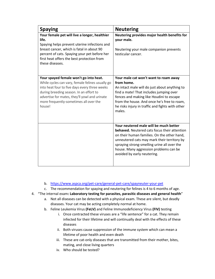| <b>Spaying</b>                                                                                                                                                                                                                                                                              | <b>Neutering</b>                                                                                                                                                                                                                                                                                                    |
|---------------------------------------------------------------------------------------------------------------------------------------------------------------------------------------------------------------------------------------------------------------------------------------------|---------------------------------------------------------------------------------------------------------------------------------------------------------------------------------------------------------------------------------------------------------------------------------------------------------------------|
| Your female pet will live a longer, healthier<br>life.<br>Spaying helps prevent uterine infections and<br>breast cancer, which is fatal in about 90<br>percent of cats. Spaying your pet before her<br>first heat offers the best protection from<br>these diseases.                        | Neutering provides major health benefits for<br>your male.<br>Neutering your male companion prevents<br>testicular cancer.                                                                                                                                                                                          |
| Your spayed female won't go into heat.<br>While cycles can vary, female felines usually go<br>into heat four to five days every three weeks<br>during breeding season. In an effort to<br>advertise for mates, they'll yowl and urinate<br>more frequently-sometimes all over the<br>house! | Your male cat won't want to roam away<br>from home.<br>An intact male will do just about anything to<br>find a mate! That includes jumping over<br>fences and making like Houdini to escape<br>from the house. And once he's free to roam,<br>he risks injury in traffic and fights with other<br>males.            |
|                                                                                                                                                                                                                                                                                             | Your neutered male will be much better<br><b>behaved.</b> Neutered cats focus their attention<br>on their human families. On the other hand,<br>unneutered cats may mark their territory by<br>spraying strong-smelling urine all over the<br>house. Many aggression problems can be<br>avoided by early neutering. |

- b. <https://www.aspca.org/pet-care/general-pet-care/spayneuter-your-pet>
- c. The recommendation for spaying and neutering for felines is 4 to 6 months of age.
- 4. "The internal exam**: Laboratory testing for parasites, parasitic diseases and general health**"
	- a. Not all diseases can be detected with a physical exam. These are silent, but deadly diseases. Your cat may be acting completely normal at home.
	- b. Feline Leukemia Virus **(FeLV)** and Feline Immunodeficiency Virus **(FIV)** testing
		- i. Once contracted these viruses are a "life sentence" for a cat. They remain infected for their lifetime and will continually deal with the effects of these diseases
		- ii. Both viruses cause suppression of the immune system which can mean a lifetime of poor health and even death
		- iii. These are cat-only diseases that are transmitted from their mother, bites, mating, and close living quarters
		- iv. Who should be tested?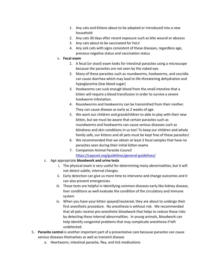- 1. Any cats and kittens about to be adopted or introduced into a new household
- 2. Any cats 30 days after recent exposure such as bite wound or abscess
- 3. Any cats about to be vaccinated for FeLV
- 4. Any sick cats with signs consistent of these diseases, regardless age, previous negative status and vaccination status
- v. **Fecal exam**
	- 1. A fecal (or stool) exam looks for intestinal parasites using a microscope because the parasites are not seen by the naked eye.
	- 2. Many of these parasites such as roundworms, hookworms, and coccidia can cause diarrhea which may lead to life-threatening dehydration and hypoglycemia (low blood sugar)
	- 3. Hookworms can suck enough blood from the small intestine that a kitten will require a blood transfusion in order to survive a severe hookworm infestation.
	- 4. Roundworms and hookworms can be transmitted from their mother. They can cause disease as early as 2 weeks of age.
	- 5. We want our children and grandchildren to able to play with their new kitten, but we must be aware that certain parasites such as roundworms and hookworms can cause serious diseases such as blindness and skin conditions in us too! To keep our children and whole family safe, our kittens and all pets must be kept free of these parasites!
	- 6. We recommended that we obtain at least 2 fecal samples that have no parasites seen during their initial kitten exams
	- 7. Companion Animal Parasite Council <https://capcvet.org/guidelines/general-guidelines/>
- c. Age appropriate **bloodwork and urine tests**
	- i. The physical exam is very useful for determining many abnormalities, but it will not detect subtle, internal changes.
	- ii. Early detection can give us more time to intervene and change outcomes and it can also prevent emergencies.
	- iii. These tests are helpful in identifying common diseases early like kidney disease, liver conditions as well evaluate the condition of the circulatory and immune system
	- iv. When you have your kitten spayed/neutered, they are about to undergo their first anesthetic procedure. No anesthesia is without risk. We recommended that all pets receive pre-anesthetic bloodwork that helps to reduce these risks by detecting these internal abnormalities. In young animals, bloodwork can help identify congenital problems that may complicate anesthesia if left undetected.
- 5. **Parasite control** is another important part of a preventative care because parasites can cause serious diseases themselves as well as transmit disease
	- a. Heartworm, intestinal parasite, flea, and tick medications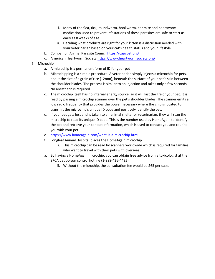- i. Many of the flea, tick, roundworm, hookworm, ear mite and heartworm medication used to prevent infestations of these parasites are safe to start as early as 8 weeks of age
- ii. Deciding what products are right for your kitten is a discussion needed with your veterinarian based on your cat's health status and your lifestyle.
- b. Companion Animal Parasite Counci[l https://capcvet.org/](https://capcvet.org/)
- c. American Heartworm Societ[y https://www.heartwormsociety.org/](https://www.heartwormsociety.org/)
- 6. Microchip
	- a. A microchip is a permanent form of ID for your pet
	- b. Microchipping is a simple procedure. A veterinarian simply injects a microchip for pets, about the size of a grain of rice (12mm), beneath the surface of your pet's skin between the shoulder blades. The process is similar to an injection and takes only a few seconds. No anesthetic is required.
	- c. The microchip itself has no internal energy source, so it will last the life of your pet. It is read by passing a microchip scanner over the pet's shoulder blades. The scanner emits a low radio frequency that provides the power necessary where the chip is located to transmit the microchip's unique ID code and positively identify the pet.
	- d. If your pet gets lost and is taken to an animal shelter or veterinarian, they will scan the microchip to read its unique ID code. This is the number used by HomeAgain to identify the pet and retrieve your contact information, which is used to contact you and reunite you with your pet.
	- e. <https://www.homeagain.com/what-is-a-microchip.html>
	- f. Longleaf Animal Hospital places the HomeAgain microchip
		- i. This microchip can be read by scanners worldwide which is required for families who want to travel with their pets with overseas.
	- a. By having a HomeAgain microchip, you can obtain free advice from a toxicologist at the SPCA pet poison control hotline (1-888-426-4435)
		- ii. Without the microchip, the consultation fee would be \$65 per case.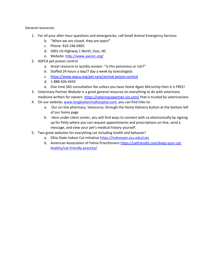General resources:

- 1. For all your after-hour questions and emergencies, call Small Animal Emergency Services
	- b. "When we are closed, they are open!"
	- c. Phone: 910-246-0405
	- d. 5901 US Highway 1 North, Vass, NC
	- e. Website[: http://www.saesnc.org/](http://www.saesnc.org/)
- 2. ASPCA pet poison control
	- a. Great resource to quickly answer: "Is this poisonous or not?"
	- b. Staffed 24 hours a day/7 day a week by toxicologists
	- c. <https://www.aspca.org/pet-care/animal-poison-control>
	- d. 1-888-426-4435
	- e. One time \$65 consultation fee unless you have Home Again Microchip then it is FREE!
- 3. Veterinary Partner Website is a great general resource on everything to do with veterinary medicine written for owners <https://veterinarypartner.vin.com/> that is trusted by veterinarians
- 4. On our website, [www.longleafanimalhospital.com,](http://www.longleafanimalhospital.com/) you can find links to:
	- a. Our on-line pharmacy, Vetsource, through the Home Delivery button at the bottom left of our home page
	- b. Here under client center, you will find ways to connect with us electronically by signing up for Petly where you can request appointments and prescriptions on-line, send a message, and view your pet's medical history yourself.
- 5. Two great websites for everything cat including health and behavior!
	- a. Ohio State Indoor Cat Initiative<https://indoorpet.osu.edu/cats>
	- b. American Association of Feline Practitioners [https://catfriendly.com/keep-your-cat](https://catfriendly.com/keep-your-cat-healthy/cat-friendly-practice/)[healthy/cat-friendly-practice/](https://catfriendly.com/keep-your-cat-healthy/cat-friendly-practice/)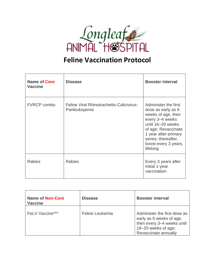

## **Feline Vaccination Protocol**

| Name of Core<br><b>Vaccine</b> | <b>Disease</b>                                             | <b>Booster interval</b>                                                                                                                                                                                            |
|--------------------------------|------------------------------------------------------------|--------------------------------------------------------------------------------------------------------------------------------------------------------------------------------------------------------------------|
| <b>FVRCP</b> combo             | Feline Viral Rhinotracheitis-Calicivirus-<br>Panleukopenia | Administer the first<br>dose as early as 6<br>weeks of age, then<br>every 3-4 weeks<br>until 16-20 weeks<br>of age; Revaccinate<br>1 year after primary<br>series; thereafter,<br>boost every 3 years,<br>lifelong |
| <b>Rabies</b>                  | <b>Rabies</b>                                              | Every 3 years after<br>initial 1-year<br>vaccination                                                                                                                                                               |

| <b>Name of Non-Core</b><br><b>Vaccine</b> | <b>Disease</b>  | <b>Booster interval</b>                                                                                                               |
|-------------------------------------------|-----------------|---------------------------------------------------------------------------------------------------------------------------------------|
| <b>FeLV Vaccine***</b>                    | Feline Leukemia | Administer the first dose as<br>early as 6 weeks of age,<br>then every 3-4 weeks until<br>16-20 weeks of age;<br>Revaccinate annually |